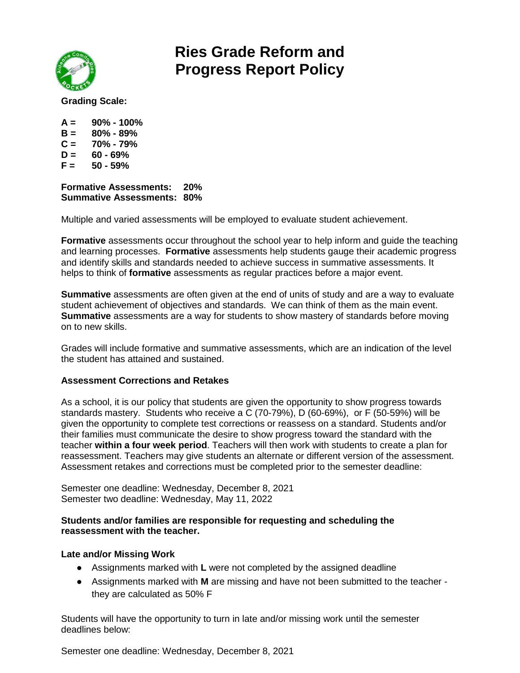

# **Ries Grade Reform and Progress Report Policy**

**Grading Scale:**

- **A = 90% - 100%**
- **B = 80% - 89%**
- **C = 70% - 79%**
- $D = 60 69%$
- **F = 50 - 59%**

**Formative Assessments: 20% Summative Assessments: 80%**

Multiple and varied assessments will be employed to evaluate student achievement.

**Formative** assessments occur throughout the school year to help inform and guide the teaching and learning processes. **Formative** assessments help students gauge their academic progress and identify skills and standards needed to achieve success in summative assessments. It helps to think of **formative** assessments as regular practices before a major event.

**Summative** assessments are often given at the end of units of study and are a way to evaluate student achievement of objectives and standards. We can think of them as the main event. **Summative** assessments are a way for students to show mastery of standards before moving on to new skills.

Grades will include formative and summative assessments, which are an indication of the level the student has attained and sustained.

### **Assessment Corrections and Retakes**

As a school, it is our policy that students are given the opportunity to show progress towards standards mastery. Students who receive a C (70-79%), D (60-69%), or F (50-59%) will be given the opportunity to complete test corrections or reassess on a standard. Students and/or their families must communicate the desire to show progress toward the standard with the teacher **within a four week period**. Teachers will then work with students to create a plan for reassessment. Teachers may give students an alternate or different version of the assessment. Assessment retakes and corrections must be completed prior to the semester deadline:

Semester one deadline: Wednesday, December 8, 2021 Semester two deadline: Wednesday, May 11, 2022

#### **Students and/or families are responsible for requesting and scheduling the reassessment with the teacher.**

### **Late and/or Missing Work**

- Assignments marked with **L** were not completed by the assigned deadline
- Assignments marked with **M** are missing and have not been submitted to the teacher they are calculated as 50% F

Students will have the opportunity to turn in late and/or missing work until the semester deadlines below:

Semester one deadline: Wednesday, December 8, 2021